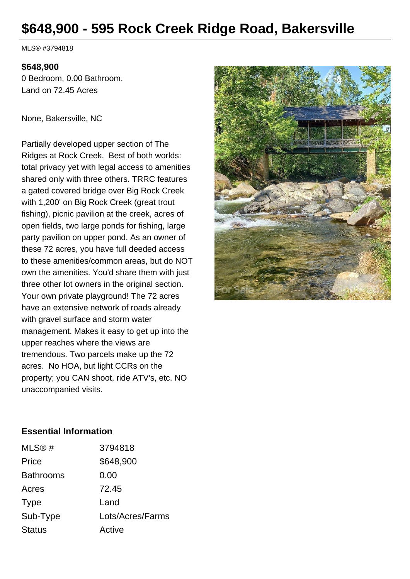# **\$648,900 - 595 Rock Creek Ridge Road, Bakersville**

MLS® #3794818

#### **\$648,900**

0 Bedroom, 0.00 Bathroom, Land on 72.45 Acres

None, Bakersville, NC

Partially developed upper section of The Ridges at Rock Creek. Best of both worlds: total privacy yet with legal access to amenities shared only with three others. TRRC features a gated covered bridge over Big Rock Creek with 1,200' on Big Rock Creek (great trout fishing), picnic pavilion at the creek, acres of open fields, two large ponds for fishing, large party pavilion on upper pond. As an owner of these 72 acres, you have full deeded access to these amenities/common areas, but do NOT own the amenities. You'd share them with just three other lot owners in the original section. Your own private playground! The 72 acres have an extensive network of roads already with gravel surface and storm water management. Makes it easy to get up into the upper reaches where the views are tremendous. Two parcels make up the 72 acres. No HOA, but light CCRs on the property; you CAN shoot, ride ATV's, etc. NO unaccompanied visits.



#### **Essential Information**

| 3794818          |
|------------------|
| \$648,900        |
| 0.00             |
| 72.45            |
| Land             |
| Lots/Acres/Farms |
| Active           |
|                  |